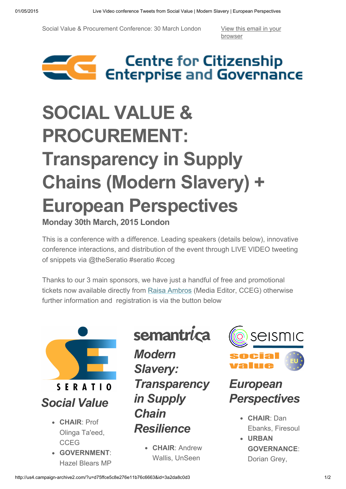Social Value & Procurement Conference: 30 March London View this email in your

[browser](http://us4.campaign-archive1.com/?u=d75ffce5c8e276e11b76c6663&id=3a2da8c0d3&e=[UNIQID])



## SOCIAL VALUE & PROCUREMENT: Transparency in Supply Chains (Modern Slavery) + European Perspectives

Monday 30th March, 2015 London

This is a conference with a difference. Leading speakers (details below), innovative conference interactions, and distribution of the event through LIVE VIDEO tweeting of snippets via @theSeratio #seratio #cceg

Thanks to our 3 main sponsors, we have just a handful of free and promotional tickets now available directly from Raisa [Ambros](mailto:raisa.ambros@cceg.org.uk?subject=Subsidised%20CCEG%20London%20Conference%20Tickets) (Media Editor, CCEG) otherwise further information and registration is via the button below



- CHAIR: Prof Olinga Ta'eed, CCEG
- GOVERNMENT: Hazel Blears MP

semantrica

*Modern Slavery: Transparency in Supply Chain Resilience*

> • CHAIR: Andrew Wallis, UnSeen



## *European Perspectives*

- CHAIR: Dan Ebanks, Firesoul
- URBAN GOVERNANCE: Dorian Grey,